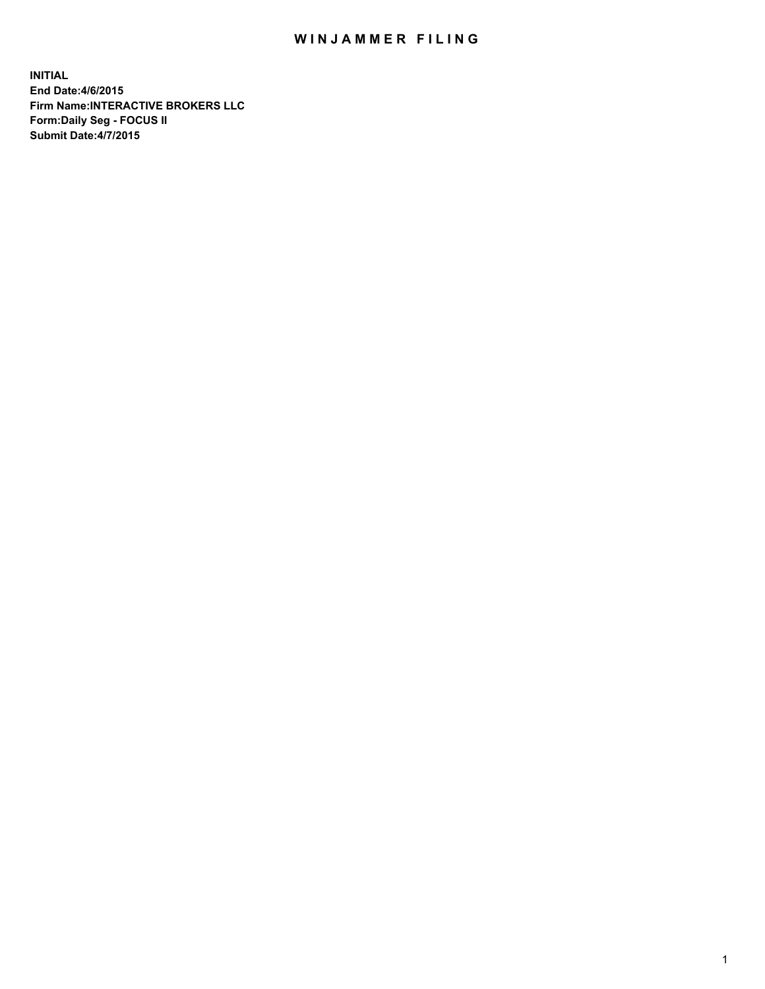## WIN JAMMER FILING

**INITIAL End Date:4/6/2015 Firm Name:INTERACTIVE BROKERS LLC Form:Daily Seg - FOCUS II Submit Date:4/7/2015**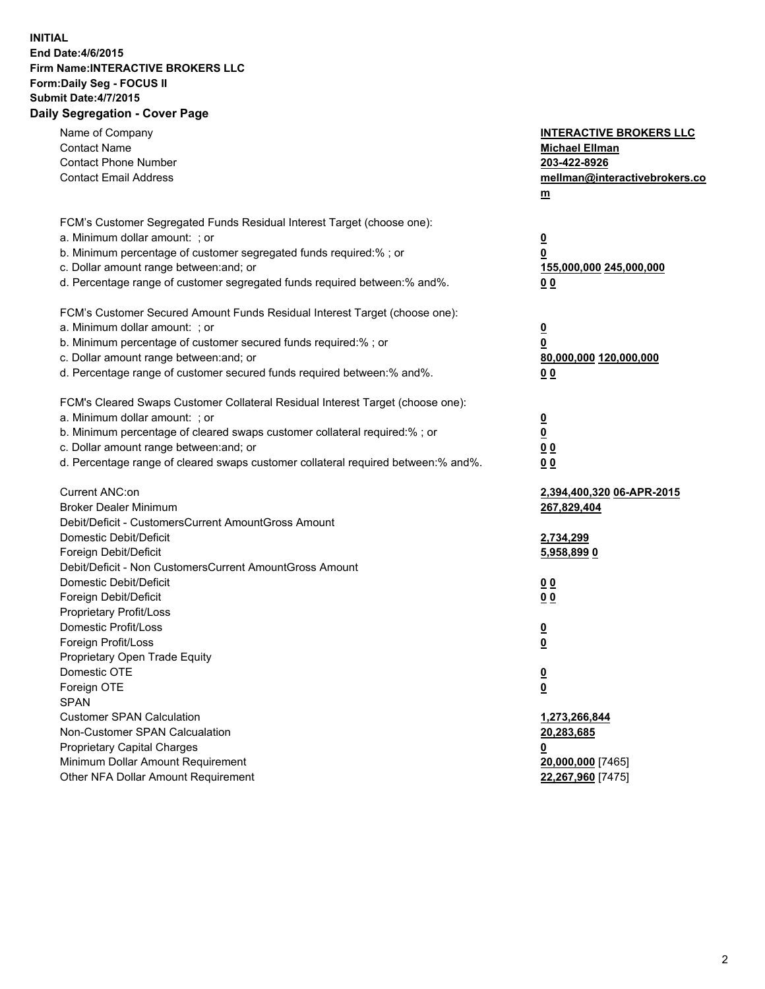## **INITIAL End Date:4/6/2015 Firm Name:INTERACTIVE BROKERS LLC Form:Daily Seg - FOCUS II Submit Date:4/7/2015 Daily Segregation - Cover Page**

| Name of Company<br><b>Contact Name</b><br><b>Contact Phone Number</b><br><b>Contact Email Address</b> | <b>INTERACTIVE BROKERS LLC</b><br><b>Michael Ellman</b><br>203-422-8926<br>mellman@interactivebrokers.co<br>$\underline{\mathbf{m}}$ |
|-------------------------------------------------------------------------------------------------------|--------------------------------------------------------------------------------------------------------------------------------------|
| FCM's Customer Segregated Funds Residual Interest Target (choose one):                                |                                                                                                                                      |
| a. Minimum dollar amount: ; or                                                                        | $\overline{\mathbf{0}}$                                                                                                              |
| b. Minimum percentage of customer segregated funds required:% ; or                                    | 0                                                                                                                                    |
| c. Dollar amount range between: and; or                                                               | 155,000,000 245,000,000                                                                                                              |
| d. Percentage range of customer segregated funds required between:% and%.                             | 00                                                                                                                                   |
| FCM's Customer Secured Amount Funds Residual Interest Target (choose one):                            |                                                                                                                                      |
| a. Minimum dollar amount: ; or                                                                        | $\overline{\mathbf{0}}$                                                                                                              |
| b. Minimum percentage of customer secured funds required:% ; or                                       | 0                                                                                                                                    |
| c. Dollar amount range between: and; or                                                               | 80,000,000 120,000,000                                                                                                               |
| d. Percentage range of customer secured funds required between:% and%.                                | 00                                                                                                                                   |
| FCM's Cleared Swaps Customer Collateral Residual Interest Target (choose one):                        |                                                                                                                                      |
| a. Minimum dollar amount: ; or                                                                        | $\overline{\mathbf{0}}$                                                                                                              |
| b. Minimum percentage of cleared swaps customer collateral required:% ; or                            | $\overline{\mathbf{0}}$                                                                                                              |
| c. Dollar amount range between: and; or                                                               | 0 <sub>0</sub>                                                                                                                       |
| d. Percentage range of cleared swaps customer collateral required between:% and%.                     | 0 <sub>0</sub>                                                                                                                       |
| Current ANC:on                                                                                        | 2,394,400,320 06-APR-2015                                                                                                            |
| <b>Broker Dealer Minimum</b>                                                                          | 267,829,404                                                                                                                          |
| Debit/Deficit - CustomersCurrent AmountGross Amount                                                   |                                                                                                                                      |
| Domestic Debit/Deficit                                                                                | 2,734,299                                                                                                                            |
| Foreign Debit/Deficit                                                                                 | 5,958,899 0                                                                                                                          |
| Debit/Deficit - Non CustomersCurrent AmountGross Amount                                               |                                                                                                                                      |
| Domestic Debit/Deficit                                                                                | 0 <sub>0</sub>                                                                                                                       |
| Foreign Debit/Deficit                                                                                 | 0 <sub>0</sub>                                                                                                                       |
| Proprietary Profit/Loss                                                                               |                                                                                                                                      |
| Domestic Profit/Loss                                                                                  | $\overline{\mathbf{0}}$                                                                                                              |
| Foreign Profit/Loss<br>Proprietary Open Trade Equity                                                  | $\underline{\mathbf{0}}$                                                                                                             |
| Domestic OTE                                                                                          | <u>0</u>                                                                                                                             |
| Foreign OTE                                                                                           |                                                                                                                                      |
| <b>SPAN</b>                                                                                           | <u>0</u>                                                                                                                             |
| <b>Customer SPAN Calculation</b>                                                                      | 1,273,266,844                                                                                                                        |
| Non-Customer SPAN Calcualation                                                                        | 20,283,685                                                                                                                           |
| Proprietary Capital Charges                                                                           | <u>0</u>                                                                                                                             |
| Minimum Dollar Amount Requirement                                                                     | 20,000,000 [7465]                                                                                                                    |
| Other NFA Dollar Amount Requirement                                                                   | 22,267,960 [7475]                                                                                                                    |
|                                                                                                       |                                                                                                                                      |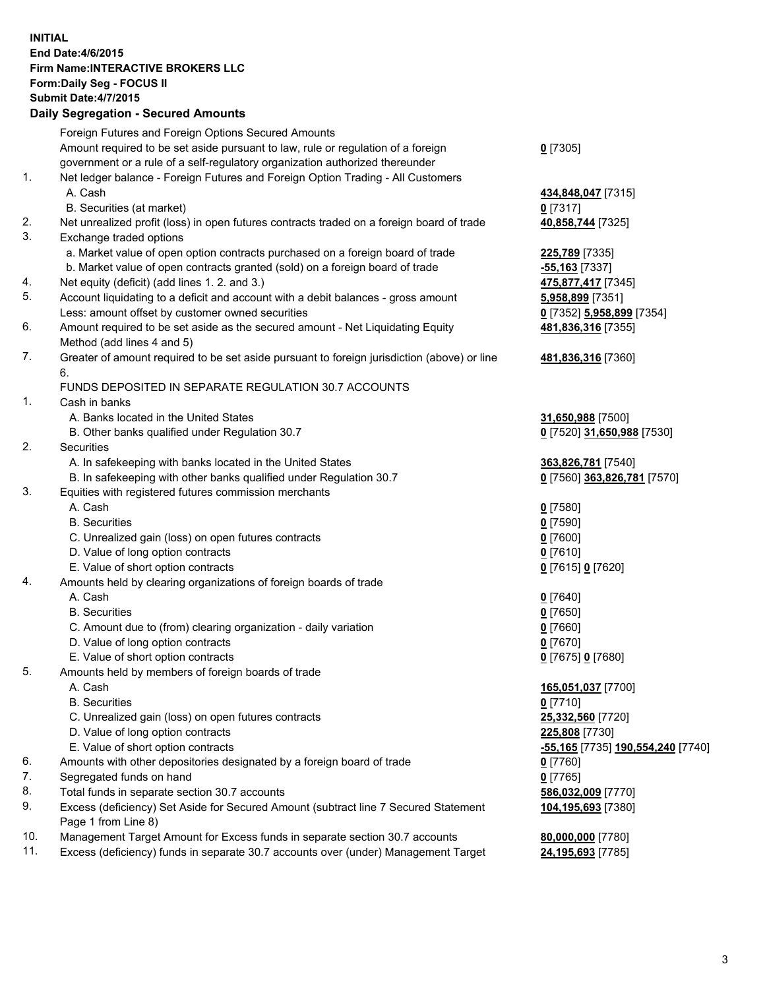## **INITIAL End Date:4/6/2015 Firm Name:INTERACTIVE BROKERS LLC Form:Daily Seg - FOCUS II Submit Date:4/7/2015 Daily Segregation - Secured Amounts**

|     | Foreign Futures and Foreign Options Secured Amounts                                         |                                   |
|-----|---------------------------------------------------------------------------------------------|-----------------------------------|
|     | Amount required to be set aside pursuant to law, rule or regulation of a foreign            | $0$ [7305]                        |
|     | government or a rule of a self-regulatory organization authorized thereunder                |                                   |
| 1.  | Net ledger balance - Foreign Futures and Foreign Option Trading - All Customers             |                                   |
|     | A. Cash                                                                                     | 434,848,047 [7315]                |
|     | B. Securities (at market)                                                                   | $0$ [7317]                        |
| 2.  | Net unrealized profit (loss) in open futures contracts traded on a foreign board of trade   | 40,858,744 [7325]                 |
| 3.  | Exchange traded options                                                                     |                                   |
|     | a. Market value of open option contracts purchased on a foreign board of trade              | 225,789 [7335]                    |
|     | b. Market value of open contracts granted (sold) on a foreign board of trade                | -55,163 [7337]                    |
| 4.  | Net equity (deficit) (add lines 1.2. and 3.)                                                | 475,877,417 [7345]                |
| 5.  | Account liquidating to a deficit and account with a debit balances - gross amount           | 5,958,899 [7351]                  |
|     | Less: amount offset by customer owned securities                                            | 0 [7352] 5,958,899 [7354]         |
| 6.  | Amount required to be set aside as the secured amount - Net Liquidating Equity              | 481,836,316 [7355]                |
|     | Method (add lines 4 and 5)                                                                  |                                   |
| 7.  | Greater of amount required to be set aside pursuant to foreign jurisdiction (above) or line | 481,836,316 [7360]                |
|     | 6.                                                                                          |                                   |
|     | FUNDS DEPOSITED IN SEPARATE REGULATION 30.7 ACCOUNTS                                        |                                   |
| 1.  | Cash in banks                                                                               |                                   |
|     | A. Banks located in the United States                                                       | 31,650,988 [7500]                 |
|     | B. Other banks qualified under Regulation 30.7                                              | 0 [7520] 31,650,988 [7530]        |
| 2.  | Securities                                                                                  |                                   |
|     | A. In safekeeping with banks located in the United States                                   | 363,826,781 [7540]                |
|     | B. In safekeeping with other banks qualified under Regulation 30.7                          | 0 [7560] 363,826,781 [7570]       |
| 3.  | Equities with registered futures commission merchants                                       |                                   |
|     | A. Cash                                                                                     | $0$ [7580]                        |
|     | <b>B.</b> Securities                                                                        | $0$ [7590]                        |
|     | C. Unrealized gain (loss) on open futures contracts                                         | $0$ [7600]                        |
|     | D. Value of long option contracts                                                           | $0$ [7610]                        |
|     | E. Value of short option contracts                                                          | 0 [7615] 0 [7620]                 |
| 4.  | Amounts held by clearing organizations of foreign boards of trade                           |                                   |
|     | A. Cash                                                                                     | $0$ [7640]                        |
|     | <b>B.</b> Securities                                                                        | $0$ [7650]                        |
|     | C. Amount due to (from) clearing organization - daily variation                             | $0$ [7660]                        |
|     | D. Value of long option contracts                                                           | $0$ [7670]                        |
|     | E. Value of short option contracts                                                          | 0 [7675] 0 [7680]                 |
| 5.  | Amounts held by members of foreign boards of trade                                          |                                   |
|     | A. Cash                                                                                     | 165,051,037 [7700]                |
|     | <b>B.</b> Securities                                                                        | $0$ [7710]                        |
|     | C. Unrealized gain (loss) on open futures contracts                                         | 25,332,560 [7720]                 |
|     | D. Value of long option contracts                                                           | 225,808 [7730]                    |
|     | E. Value of short option contracts                                                          | -55,165 [7735] 190,554,240 [7740] |
| 6.  | Amounts with other depositories designated by a foreign board of trade                      | $0$ [7760]                        |
| 7.  | Segregated funds on hand                                                                    | $0$ [7765]                        |
| 8.  | Total funds in separate section 30.7 accounts                                               | 586,032,009 [7770]                |
| 9.  | Excess (deficiency) Set Aside for Secured Amount (subtract line 7 Secured Statement         | 104,195,693 [7380]                |
|     | Page 1 from Line 8)                                                                         |                                   |
| 10. | Management Target Amount for Excess funds in separate section 30.7 accounts                 | 80,000,000 [7780]                 |
| 11. | Excess (deficiency) funds in separate 30.7 accounts over (under) Management Target          | 24,195,693 [7785]                 |
|     |                                                                                             |                                   |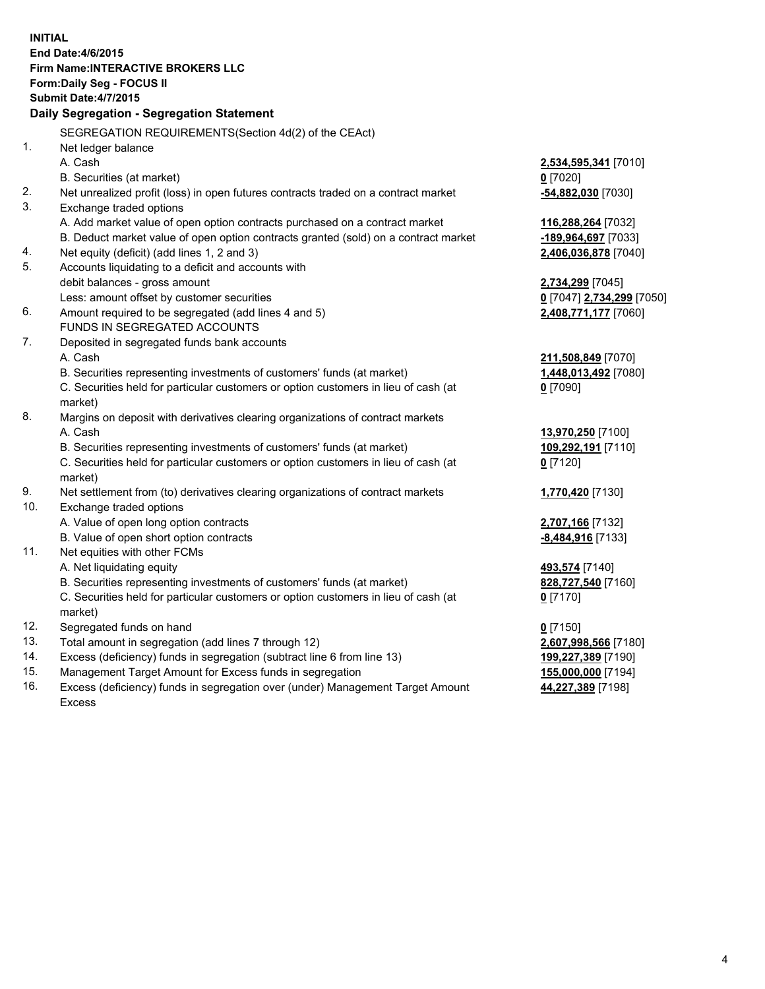**INITIAL End Date:4/6/2015 Firm Name:INTERACTIVE BROKERS LLC Form:Daily Seg - FOCUS II Submit Date:4/7/2015 Daily Segregation - Segregation Statement** SEGREGATION REQUIREMENTS(Section 4d(2) of the CEAct) 1. Net ledger balance A. Cash **2,534,595,341** [7010] B. Securities (at market) **0** [7020] 2. Net unrealized profit (loss) in open futures contracts traded on a contract market **-54,882,030** [7030] 3. Exchange traded options A. Add market value of open option contracts purchased on a contract market **116,288,264** [7032] B. Deduct market value of open option contracts granted (sold) on a contract market **-189,964,697** [7033] 4. Net equity (deficit) (add lines 1, 2 and 3) **2,406,036,878** [7040] 5. Accounts liquidating to a deficit and accounts with debit balances - gross amount **2,734,299** [7045] Less: amount offset by customer securities **0** [7047] **2,734,299** [7050] 6. Amount required to be segregated (add lines 4 and 5) **2,408,771,177** [7060] FUNDS IN SEGREGATED ACCOUNTS 7. Deposited in segregated funds bank accounts A. Cash **211,508,849** [7070] B. Securities representing investments of customers' funds (at market) **1,448,013,492** [7080] C. Securities held for particular customers or option customers in lieu of cash (at market) **0** [7090] 8. Margins on deposit with derivatives clearing organizations of contract markets A. Cash **13,970,250** [7100] B. Securities representing investments of customers' funds (at market) **109,292,191** [7110] C. Securities held for particular customers or option customers in lieu of cash (at market) **0** [7120] 9. Net settlement from (to) derivatives clearing organizations of contract markets **1,770,420** [7130] 10. Exchange traded options A. Value of open long option contracts **2,707,166** [7132] B. Value of open short option contracts **-8,484,916** [7133] 11. Net equities with other FCMs A. Net liquidating equity **493,574** [7140] B. Securities representing investments of customers' funds (at market) **828,727,540** [7160] C. Securities held for particular customers or option customers in lieu of cash (at market) **0** [7170] 12. Segregated funds on hand **0** [7150] 13. Total amount in segregation (add lines 7 through 12) **2,607,998,566** [7180] 14. Excess (deficiency) funds in segregation (subtract line 6 from line 13) **199,227,389** [7190] 15. Management Target Amount for Excess funds in segregation **155,000,000** [7194] **44,227,389** [7198]

16. Excess (deficiency) funds in segregation over (under) Management Target Amount Excess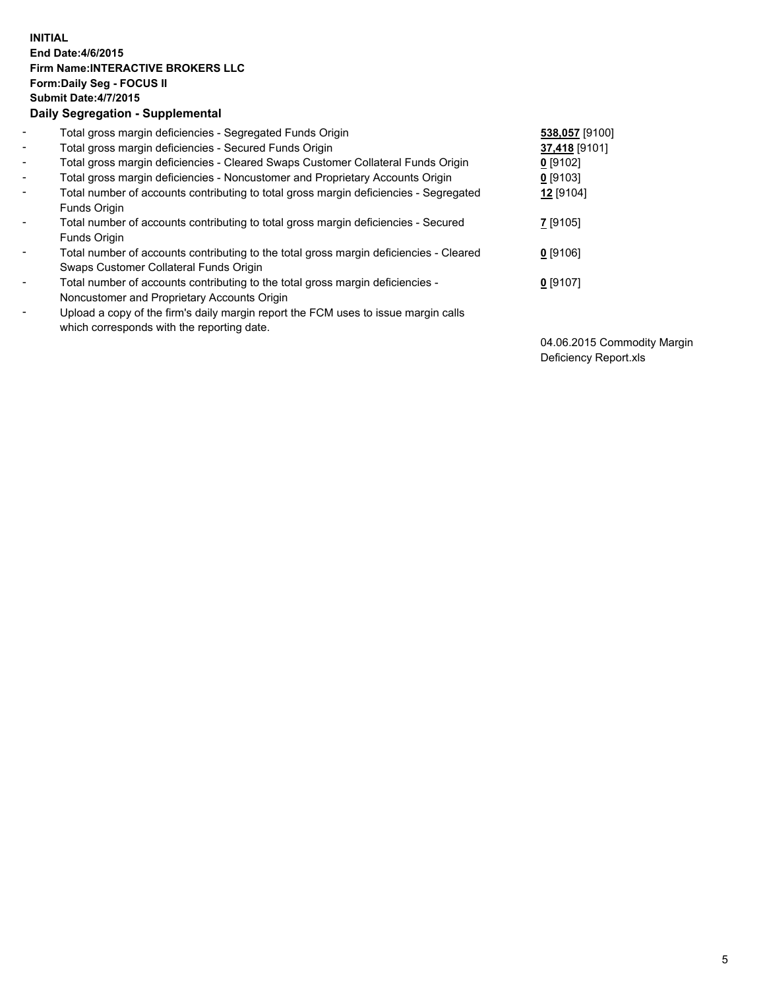## **INITIAL End Date:4/6/2015 Firm Name:INTERACTIVE BROKERS LLC Form:Daily Seg - FOCUS II Submit Date:4/7/2015 Daily Segregation - Supplemental**

| $\blacksquare$ | Total gross margin deficiencies - Segregated Funds Origin                              | 538,057 [9100] |
|----------------|----------------------------------------------------------------------------------------|----------------|
| $\sim$         | Total gross margin deficiencies - Secured Funds Origin                                 | 37,418 [9101]  |
| $\blacksquare$ | Total gross margin deficiencies - Cleared Swaps Customer Collateral Funds Origin       | $0$ [9102]     |
| $\blacksquare$ | Total gross margin deficiencies - Noncustomer and Proprietary Accounts Origin          | $0$ [9103]     |
| $\blacksquare$ | Total number of accounts contributing to total gross margin deficiencies - Segregated  | 12 [9104]      |
|                | Funds Origin                                                                           |                |
| $\blacksquare$ | Total number of accounts contributing to total gross margin deficiencies - Secured     | 7 [9105]       |
|                | Funds Origin                                                                           |                |
| Ξ.             | Total number of accounts contributing to the total gross margin deficiencies - Cleared | $0$ [9106]     |
|                | Swaps Customer Collateral Funds Origin                                                 |                |
| ۰              | Total number of accounts contributing to the total gross margin deficiencies -         | $0$ [9107]     |
|                | Noncustomer and Proprietary Accounts Origin                                            |                |
| $\blacksquare$ | Upload a copy of the firm's daily margin report the FCM uses to issue margin calls     |                |
|                | which corresponds with the reporting date.                                             |                |

04.06.2015 Commodity Margin Deficiency Report.xls